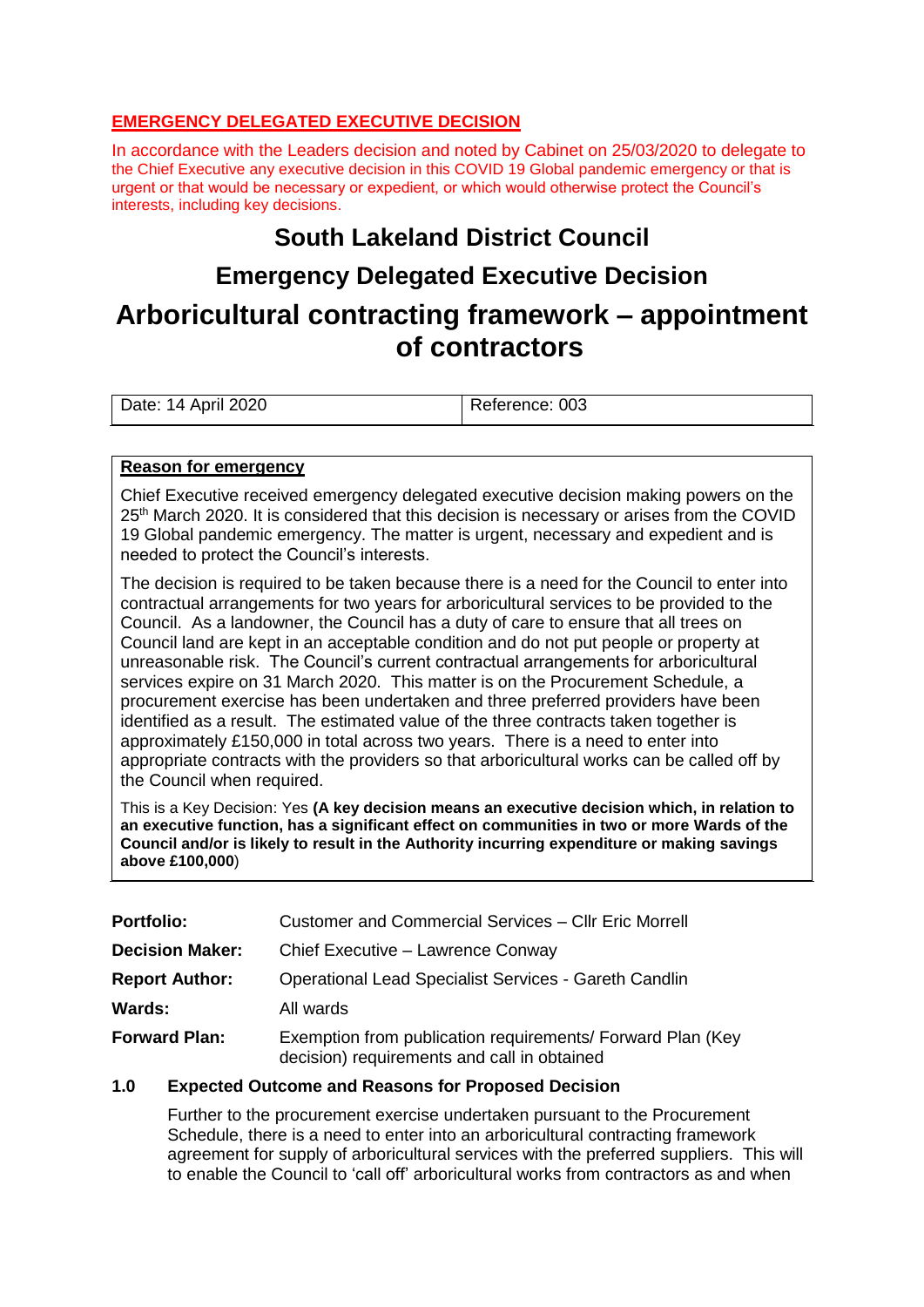### **EMERGENCY DELEGATED EXECUTIVE DECISION**

In accordance with the Leaders decision and noted by Cabinet on 25/03/2020 to delegate to the Chief Executive any executive decision in this COVID 19 Global pandemic emergency or that is urgent or that would be necessary or expedient, or which would otherwise protect the Council's interests, including key decisions.

## **South Lakeland District Council**

## **Emergency Delegated Executive Decision**

# **Arboricultural contracting framework – appointment of contractors**

| Date: 14 April 2020 | Reference: 003 |
|---------------------|----------------|
|                     |                |

#### **Reason for emergency**

Chief Executive received emergency delegated executive decision making powers on the 25<sup>th</sup> March 2020. It is considered that this decision is necessary or arises from the COVID 19 Global pandemic emergency. The matter is urgent, necessary and expedient and is needed to protect the Council's interests.

The decision is required to be taken because there is a need for the Council to enter into contractual arrangements for two years for arboricultural services to be provided to the Council. As a landowner, the Council has a duty of care to ensure that all trees on Council land are kept in an acceptable condition and do not put people or property at unreasonable risk. The Council's current contractual arrangements for arboricultural services expire on 31 March 2020. This matter is on the Procurement Schedule, a procurement exercise has been undertaken and three preferred providers have been identified as a result. The estimated value of the three contracts taken together is approximately £150,000 in total across two years. There is a need to enter into appropriate contracts with the providers so that arboricultural works can be called off by the Council when required.

This is a Key Decision: Yes **(A key decision means an executive decision which, in relation to an executive function, has a significant effect on communities in two or more Wards of the Council and/or is likely to result in the Authority incurring expenditure or making savings above £100,000**)

| <b>Portfolio:</b>      | Customer and Commercial Services - Cllr Eric Morrell                                                      |  |
|------------------------|-----------------------------------------------------------------------------------------------------------|--|
| <b>Decision Maker:</b> | Chief Executive - Lawrence Conway                                                                         |  |
| <b>Report Author:</b>  | <b>Operational Lead Specialist Services - Gareth Candlin</b>                                              |  |
| Wards:                 | All wards                                                                                                 |  |
| <b>Forward Plan:</b>   | Exemption from publication requirements/ Forward Plan (Key<br>decision) requirements and call in obtained |  |

#### **1.0 Expected Outcome and Reasons for Proposed Decision**

Further to the procurement exercise undertaken pursuant to the Procurement Schedule, there is a need to enter into an arboricultural contracting framework agreement for supply of arboricultural services with the preferred suppliers. This will to enable the Council to 'call off' arboricultural works from contractors as and when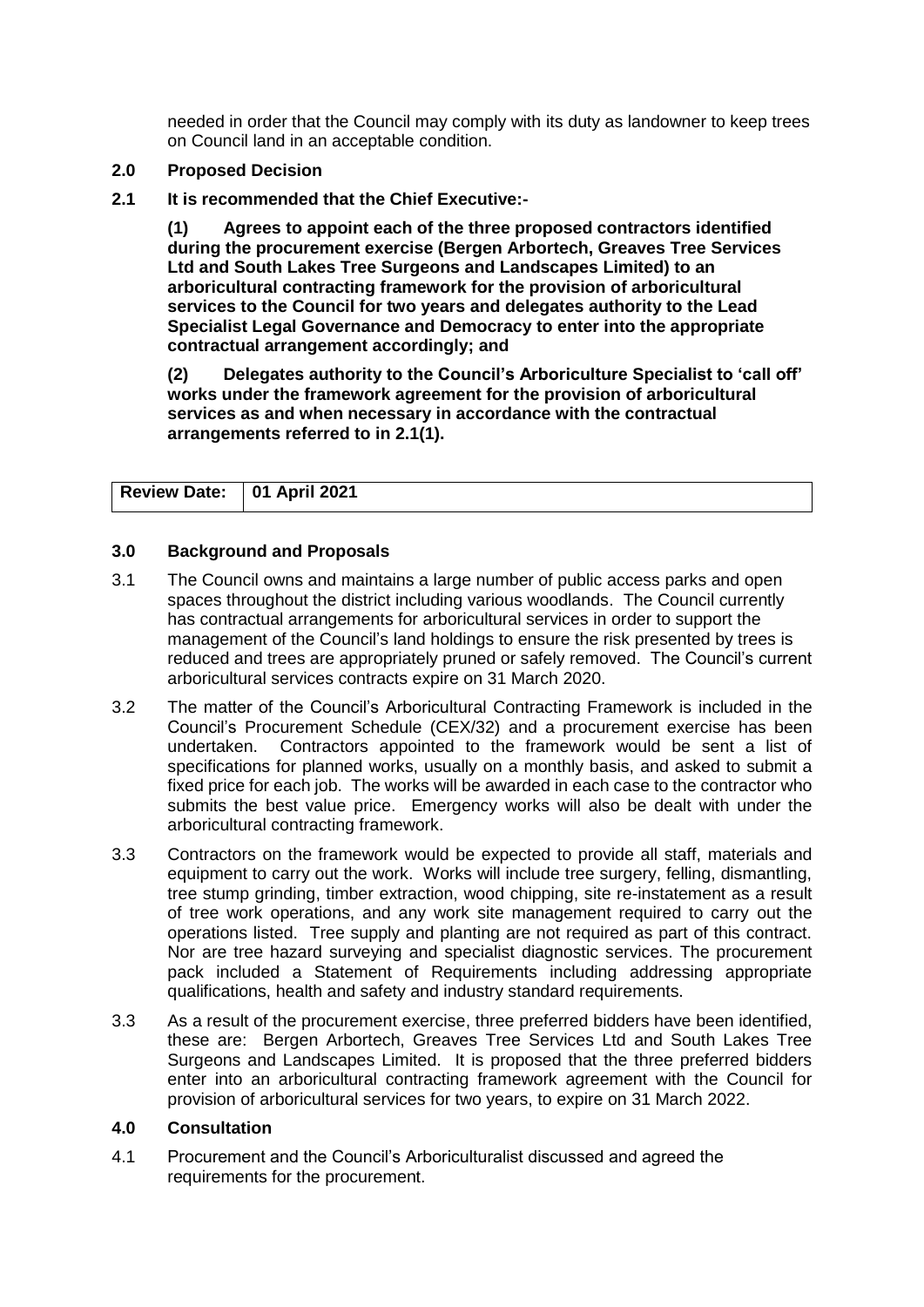needed in order that the Council may comply with its duty as landowner to keep trees on Council land in an acceptable condition.

- **2.0 Proposed Decision**
- **2.1 It is recommended that the Chief Executive:-**

**(1) Agrees to appoint each of the three proposed contractors identified during the procurement exercise (Bergen Arbortech, Greaves Tree Services Ltd and South Lakes Tree Surgeons and Landscapes Limited) to an arboricultural contracting framework for the provision of arboricultural services to the Council for two years and delegates authority to the Lead Specialist Legal Governance and Democracy to enter into the appropriate contractual arrangement accordingly; and**

**(2) Delegates authority to the Council's Arboriculture Specialist to 'call off' works under the framework agreement for the provision of arboricultural services as and when necessary in accordance with the contractual arrangements referred to in 2.1(1).**

| Review Date: 01 April 2021 |  |
|----------------------------|--|

#### **3.0 Background and Proposals**

- 3.1 The Council owns and maintains a large number of public access parks and open spaces throughout the district including various woodlands. The Council currently has contractual arrangements for arboricultural services in order to support the management of the Council's land holdings to ensure the risk presented by trees is reduced and trees are appropriately pruned or safely removed. The Council's current arboricultural services contracts expire on 31 March 2020.
- 3.2 The matter of the Council's Arboricultural Contracting Framework is included in the Council's Procurement Schedule (CEX/32) and a procurement exercise has been undertaken. Contractors appointed to the framework would be sent a list of specifications for planned works, usually on a monthly basis, and asked to submit a fixed price for each job. The works will be awarded in each case to the contractor who submits the best value price. Emergency works will also be dealt with under the arboricultural contracting framework.
- 3.3 Contractors on the framework would be expected to provide all staff, materials and equipment to carry out the work. Works will include tree surgery, felling, dismantling, tree stump grinding, timber extraction, wood chipping, site re-instatement as a result of tree work operations, and any work site management required to carry out the operations listed. Tree supply and planting are not required as part of this contract. Nor are tree hazard surveying and specialist diagnostic services. The procurement pack included a Statement of Requirements including addressing appropriate qualifications, health and safety and industry standard requirements.
- 3.3 As a result of the procurement exercise, three preferred bidders have been identified, these are: Bergen Arbortech, Greaves Tree Services Ltd and South Lakes Tree Surgeons and Landscapes Limited. It is proposed that the three preferred bidders enter into an arboricultural contracting framework agreement with the Council for provision of arboricultural services for two years, to expire on 31 March 2022.

#### **4.0 Consultation**

4.1 Procurement and the Council's Arboriculturalist discussed and agreed the requirements for the procurement.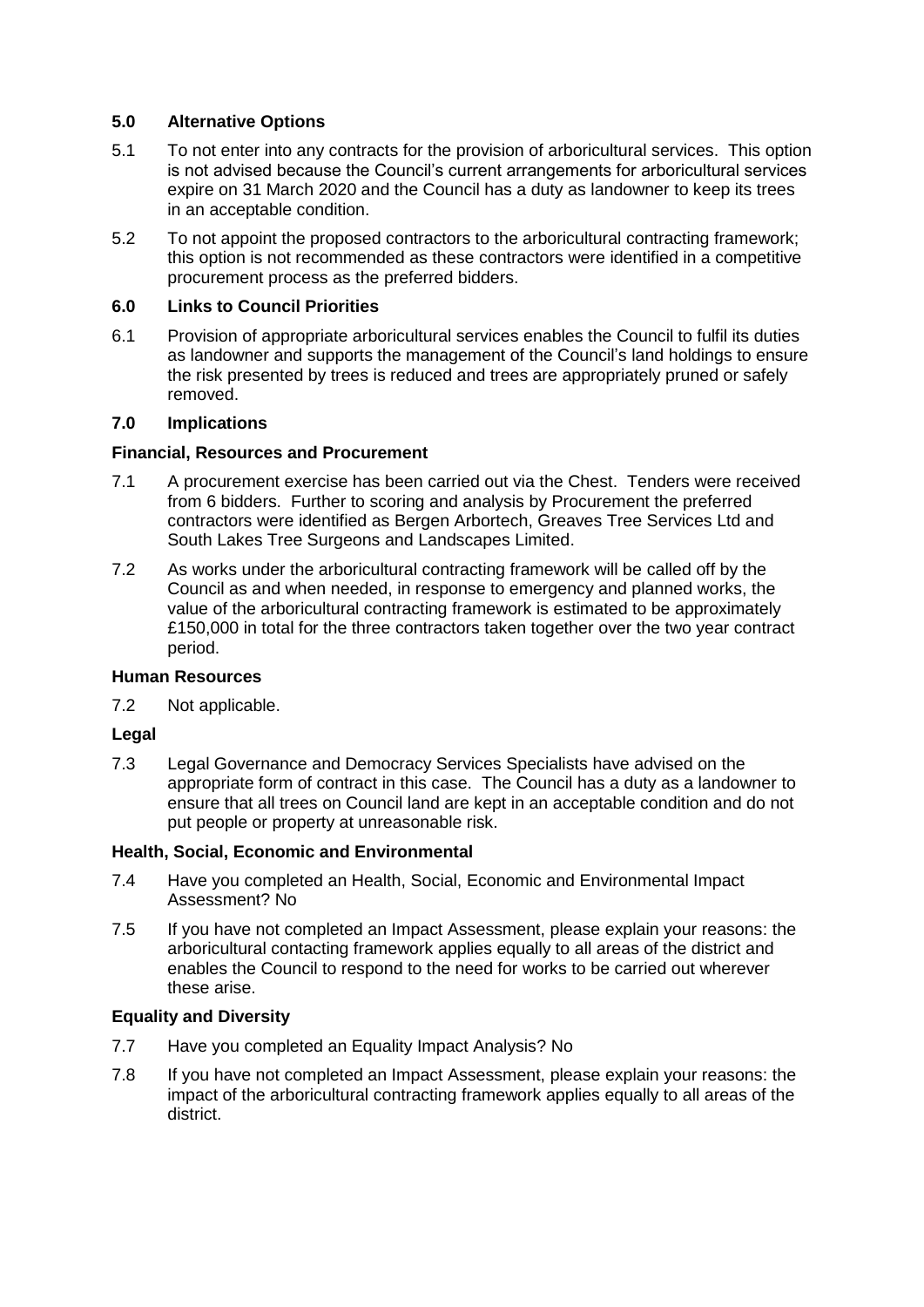#### **5.0 Alternative Options**

- 5.1 To not enter into any contracts for the provision of arboricultural services. This option is not advised because the Council's current arrangements for arboricultural services expire on 31 March 2020 and the Council has a duty as landowner to keep its trees in an acceptable condition.
- 5.2 To not appoint the proposed contractors to the arboricultural contracting framework; this option is not recommended as these contractors were identified in a competitive procurement process as the preferred bidders.

#### **6.0 Links to Council Priorities**

6.1 Provision of appropriate arboricultural services enables the Council to fulfil its duties as landowner and supports the management of the Council's land holdings to ensure the risk presented by trees is reduced and trees are appropriately pruned or safely removed.

#### **7.0 Implications**

#### **Financial, Resources and Procurement**

- 7.1 A procurement exercise has been carried out via the Chest. Tenders were received from 6 bidders. Further to scoring and analysis by Procurement the preferred contractors were identified as Bergen Arbortech, Greaves Tree Services Ltd and South Lakes Tree Surgeons and Landscapes Limited.
- 7.2 As works under the arboricultural contracting framework will be called off by the Council as and when needed, in response to emergency and planned works, the value of the arboricultural contracting framework is estimated to be approximately £150,000 in total for the three contractors taken together over the two year contract period.

#### **Human Resources**

7.2 Not applicable.

#### **Legal**

7.3 Legal Governance and Democracy Services Specialists have advised on the appropriate form of contract in this case. The Council has a duty as a landowner to ensure that all trees on Council land are kept in an acceptable condition and do not put people or property at unreasonable risk.

#### **Health, Social, Economic and Environmental**

- 7.4 Have you completed an Health, Social, Economic and Environmental Impact Assessment? No
- 7.5 If you have not completed an Impact Assessment, please explain your reasons: the arboricultural contacting framework applies equally to all areas of the district and enables the Council to respond to the need for works to be carried out wherever these arise.

#### **Equality and Diversity**

- 7.7 Have you completed an Equality Impact Analysis? No
- 7.8 If you have not completed an Impact Assessment, please explain your reasons: the impact of the arboricultural contracting framework applies equally to all areas of the district.